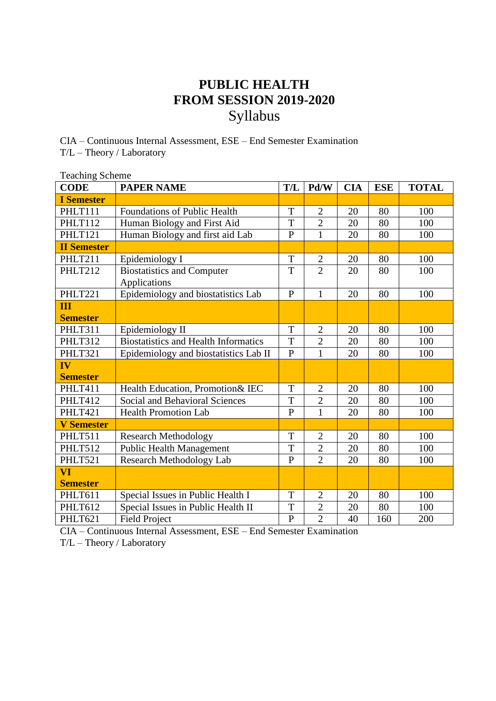## **PUBLIC HEALTH FROM SESSION 2019-2020** Syllabus

CIA – Continuous Internal Assessment, ESE – End Semester Examination T/L – Theory / Laboratory

| <b>Teaching Scheme</b> |                                             |                |                |            |            |              |
|------------------------|---------------------------------------------|----------------|----------------|------------|------------|--------------|
| <b>CODE</b>            | <b>PAPER NAME</b>                           | <b>T/L</b>     | Pd/W           | <b>CIA</b> | <b>ESE</b> | <b>TOTAL</b> |
| <b>I</b> Semester      |                                             |                |                |            |            |              |
| PHLT111                | <b>Foundations of Public Health</b>         | T              | $\overline{2}$ | 20         | 80         | 100          |
| PHLT112                | Human Biology and First Aid                 | T              | $\overline{2}$ | 20         | 80         | 100          |
| PHLT121                | Human Biology and first aid Lab             | $\overline{P}$ | $\mathbf{1}$   | 20         | 80         | 100          |
| <b>II Semester</b>     |                                             |                |                |            |            |              |
| PHLT211                | Epidemiology I                              | T              | $\mathbf{2}$   | 20         | 80         | 100          |
| PHLT212                | <b>Biostatistics and Computer</b>           | T              | $\overline{2}$ | 20         | 80         | 100          |
|                        | Applications                                |                |                |            |            |              |
| PHLT221                | Epidemiology and biostatistics Lab          | $\overline{P}$ | $\mathbf{1}$   | 20         | 80         | 100          |
| III                    |                                             |                |                |            |            |              |
| <b>Semester</b>        |                                             |                |                |            |            |              |
| PHLT311                | Epidemiology II                             | T              | $\overline{2}$ | 20         | 80         | 100          |
| PHLT312                | <b>Biostatistics and Health Informatics</b> | T              | $\overline{2}$ | 20         | 80         | 100          |
| PHLT321                | Epidemiology and biostatistics Lab II       | $\mathbf{P}$   | $\mathbf{1}$   | 20         | 80         | 100          |
| IV                     |                                             |                |                |            |            |              |
| <b>Semester</b>        |                                             |                |                |            |            |              |
| PHLT411                | Health Education, Promotion& IEC            | T              | $\overline{2}$ | 20         | 80         | 100          |
| PHLT412                | <b>Social and Behavioral Sciences</b>       | T              | $\overline{c}$ | 20         | 80         | 100          |
| PHLT421                | <b>Health Promotion Lab</b>                 | $\mathbf{P}$   | $\mathbf{1}$   | 20         | 80         | 100          |
| <b>V</b> Semester      |                                             |                |                |            |            |              |
| PHLT511                | <b>Research Methodology</b>                 | T              | $\overline{2}$ | 20         | 80         | 100          |
| PHLT512                | <b>Public Health Management</b>             | T              | $\overline{2}$ | 20         | 80         | 100          |
| PHLT521                | Research Methodology Lab                    | $\overline{P}$ | $\overline{2}$ | 20         | 80         | 100          |
| VI                     |                                             |                |                |            |            |              |
| <b>Semester</b>        |                                             |                |                |            |            |              |
| PHLT611                | Special Issues in Public Health I           | T              | $\overline{2}$ | 20         | 80         | 100          |
| PHLT612                | Special Issues in Public Health II          | T              | $\overline{c}$ | 20         | 80         | 100          |
| PHLT621                | <b>Field Project</b>                        | $\overline{P}$ | $\overline{2}$ | 40         | 160        | 200          |

CIA – Continuous Internal Assessment, ESE – End Semester Examination

T/L – Theory / Laboratory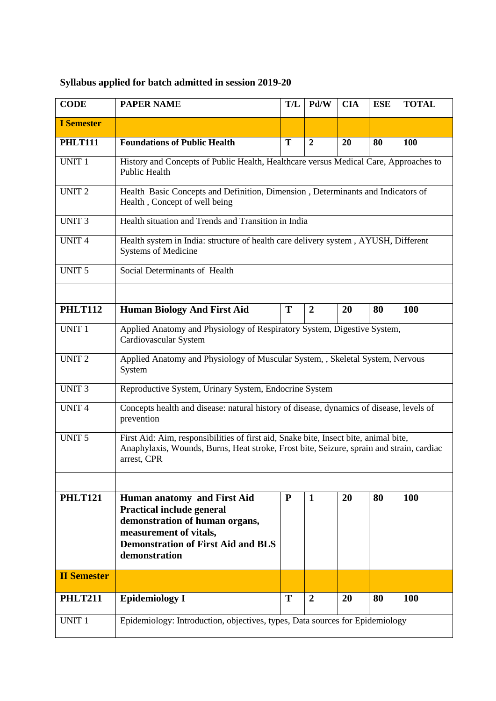## **Syllabus applied for batch admitted in session 2019-20**

| <b>CODE</b>        | <b>PAPER NAME</b>                                                                                                                                                                               | T/L          | Pd/W           | <b>CIA</b> | <b>ESE</b> | <b>TOTAL</b> |  |
|--------------------|-------------------------------------------------------------------------------------------------------------------------------------------------------------------------------------------------|--------------|----------------|------------|------------|--------------|--|
| <b>I</b> Semester  |                                                                                                                                                                                                 |              |                |            |            |              |  |
| <b>PHLT111</b>     | <b>Foundations of Public Health</b>                                                                                                                                                             | T            | $\overline{2}$ | 20         | 80         | 100          |  |
| <b>UNIT 1</b>      | History and Concepts of Public Health, Healthcare versus Medical Care, Approaches to<br>Public Health                                                                                           |              |                |            |            |              |  |
| <b>UNIT 2</b>      | Health Basic Concepts and Definition, Dimension, Determinants and Indicators of<br>Health, Concept of well being                                                                                |              |                |            |            |              |  |
| <b>UNIT3</b>       | Health situation and Trends and Transition in India                                                                                                                                             |              |                |            |            |              |  |
| <b>UNIT4</b>       | Health system in India: structure of health care delivery system, AYUSH, Different<br><b>Systems of Medicine</b>                                                                                |              |                |            |            |              |  |
| <b>UNIT 5</b>      | Social Determinants of Health                                                                                                                                                                   |              |                |            |            |              |  |
|                    |                                                                                                                                                                                                 |              |                |            |            |              |  |
| <b>PHLT112</b>     | <b>Human Biology And First Aid</b>                                                                                                                                                              | T            | $\overline{2}$ | 20         | 80         | 100          |  |
| <b>UNIT 1</b>      | Applied Anatomy and Physiology of Respiratory System, Digestive System,<br>Cardiovascular System                                                                                                |              |                |            |            |              |  |
| <b>UNIT 2</b>      | Applied Anatomy and Physiology of Muscular System, , Skeletal System, Nervous<br>System                                                                                                         |              |                |            |            |              |  |
| <b>UNIT3</b>       | Reproductive System, Urinary System, Endocrine System                                                                                                                                           |              |                |            |            |              |  |
| <b>UNIT4</b>       | Concepts health and disease: natural history of disease, dynamics of disease, levels of<br>prevention                                                                                           |              |                |            |            |              |  |
| <b>UNIT 5</b>      | First Aid: Aim, responsibilities of first aid, Snake bite, Insect bite, animal bite,<br>Anaphylaxis, Wounds, Burns, Heat stroke, Frost bite, Seizure, sprain and strain, cardiac<br>arrest, CPR |              |                |            |            |              |  |
|                    |                                                                                                                                                                                                 |              |                |            |            |              |  |
| <b>PHLT121</b>     | Human anatomy and First Aid<br><b>Practical include general</b><br>demonstration of human organs,<br>measurement of vitals,<br><b>Demonstration of First Aid and BLS</b><br>demonstration       | $\mathbf{P}$ | $\mathbf{1}$   | 20         | 80         | <b>100</b>   |  |
| <b>II Semester</b> |                                                                                                                                                                                                 |              |                |            |            |              |  |
| <b>PHLT211</b>     | <b>Epidemiology I</b>                                                                                                                                                                           | T            | $\overline{2}$ | 20         | 80         | 100          |  |
| <b>UNIT 1</b>      | Epidemiology: Introduction, objectives, types, Data sources for Epidemiology                                                                                                                    |              |                |            |            |              |  |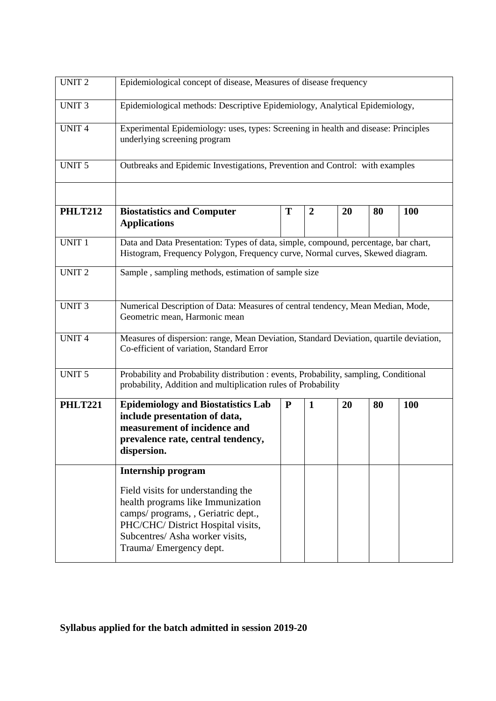| <b>UNIT2</b>   | Epidemiological concept of disease, Measures of disease frequency                                                                                                                                                |           |                |    |    |     |  |
|----------------|------------------------------------------------------------------------------------------------------------------------------------------------------------------------------------------------------------------|-----------|----------------|----|----|-----|--|
| <b>UNIT3</b>   | Epidemiological methods: Descriptive Epidemiology, Analytical Epidemiology,                                                                                                                                      |           |                |    |    |     |  |
| <b>UNIT4</b>   | Experimental Epidemiology: uses, types: Screening in health and disease: Principles<br>underlying screening program                                                                                              |           |                |    |    |     |  |
| <b>UNIT 5</b>  | Outbreaks and Epidemic Investigations, Prevention and Control: with examples                                                                                                                                     |           |                |    |    |     |  |
| <b>PHLT212</b> | <b>Biostatistics and Computer</b><br><b>Applications</b>                                                                                                                                                         | T         | $\overline{2}$ | 20 | 80 | 100 |  |
| <b>UNIT 1</b>  | Data and Data Presentation: Types of data, simple, compound, percentage, bar chart,<br>Histogram, Frequency Polygon, Frequency curve, Normal curves, Skewed diagram.                                             |           |                |    |    |     |  |
| <b>UNIT2</b>   | Sample, sampling methods, estimation of sample size                                                                                                                                                              |           |                |    |    |     |  |
| <b>UNIT3</b>   | Numerical Description of Data: Measures of central tendency, Mean Median, Mode,<br>Geometric mean, Harmonic mean                                                                                                 |           |                |    |    |     |  |
| <b>UNIT4</b>   | Measures of dispersion: range, Mean Deviation, Standard Deviation, quartile deviation,<br>Co-efficient of variation, Standard Error                                                                              |           |                |    |    |     |  |
| <b>UNIT 5</b>  | Probability and Probability distribution : events, Probability, sampling, Conditional<br>probability, Addition and multiplication rules of Probability                                                           |           |                |    |    |     |  |
| <b>PHLT221</b> | <b>Epidemiology and Biostatistics Lab</b><br>include presentation of data,<br>measurement of incidence and<br>prevalence rate, central tendency,<br>dispersion.                                                  | ${\bf P}$ | $\mathbf{1}$   | 20 | 80 | 100 |  |
|                | <b>Internship program</b>                                                                                                                                                                                        |           |                |    |    |     |  |
|                | Field visits for understanding the<br>health programs like Immunization<br>camps/programs, , Geriatric dept.,<br>PHC/CHC/ District Hospital visits,<br>Subcentres/ Asha worker visits,<br>Trauma/Emergency dept. |           |                |    |    |     |  |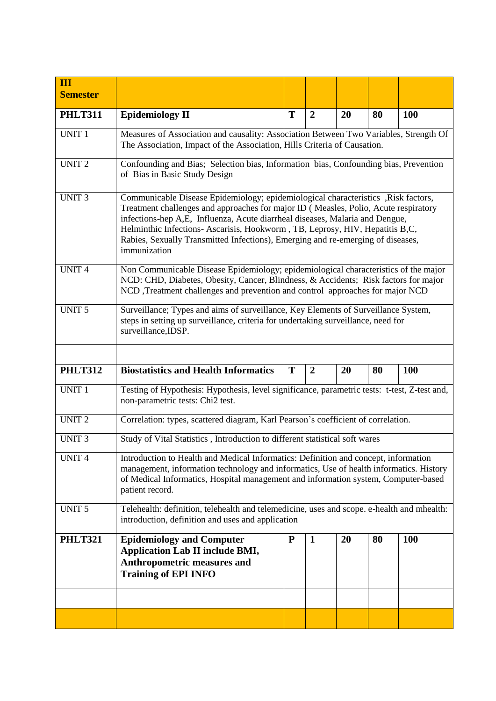| Ш<br><b>Semester</b> |                                                                                                                                                                                                                                                                                                                                                                                                                                              |           |                  |    |    |            |  |
|----------------------|----------------------------------------------------------------------------------------------------------------------------------------------------------------------------------------------------------------------------------------------------------------------------------------------------------------------------------------------------------------------------------------------------------------------------------------------|-----------|------------------|----|----|------------|--|
| <b>PHLT311</b>       | <b>Epidemiology II</b>                                                                                                                                                                                                                                                                                                                                                                                                                       | T         | $\boldsymbol{2}$ | 20 | 80 | 100        |  |
| <b>UNIT 1</b>        | Measures of Association and causality: Association Between Two Variables, Strength Of<br>The Association, Impact of the Association, Hills Criteria of Causation.                                                                                                                                                                                                                                                                            |           |                  |    |    |            |  |
| <b>UNIT2</b>         | Confounding and Bias; Selection bias, Information bias, Confounding bias, Prevention<br>of Bias in Basic Study Design                                                                                                                                                                                                                                                                                                                        |           |                  |    |    |            |  |
| <b>UNIT3</b>         | Communicable Disease Epidemiology; epidemiological characteristics , Risk factors,<br>Treatment challenges and approaches for major ID (Measles, Polio, Acute respiratory<br>infections-hep A,E, Influenza, Acute diarrheal diseases, Malaria and Dengue,<br>Helminthic Infections- Ascarisis, Hookworm, TB, Leprosy, HIV, Hepatitis B,C,<br>Rabies, Sexually Transmitted Infections), Emerging and re-emerging of diseases,<br>immunization |           |                  |    |    |            |  |
| <b>UNIT4</b>         | Non Communicable Disease Epidemiology; epidemiological characteristics of the major<br>NCD: CHD, Diabetes, Obesity, Cancer, Blindness, & Accidents; Risk factors for major<br>NCD, Treatment challenges and prevention and control approaches for major NCD                                                                                                                                                                                  |           |                  |    |    |            |  |
| <b>UNIT 5</b>        | Surveillance; Types and aims of surveillance, Key Elements of Surveillance System,<br>steps in setting up surveillance, criteria for undertaking surveillance, need for<br>surveillance, IDSP.                                                                                                                                                                                                                                               |           |                  |    |    |            |  |
| <b>PHLT312</b>       | <b>Biostatistics and Health Informatics</b>                                                                                                                                                                                                                                                                                                                                                                                                  | T         | $\boldsymbol{2}$ | 20 | 80 | <b>100</b> |  |
| <b>UNIT 1</b>        | Testing of Hypothesis: Hypothesis, level significance, parametric tests: t-test, Z-test and,<br>non-parametric tests: Chi2 test.                                                                                                                                                                                                                                                                                                             |           |                  |    |    |            |  |
| UNIT $\overline{2}$  | Correlation: types, scattered diagram, Karl Pearson's coefficient of correlation.                                                                                                                                                                                                                                                                                                                                                            |           |                  |    |    |            |  |
| <b>UNIT3</b>         | Study of Vital Statistics, Introduction to different statistical soft wares                                                                                                                                                                                                                                                                                                                                                                  |           |                  |    |    |            |  |
| <b>UNIT4</b>         | Introduction to Health and Medical Informatics: Definition and concept, information<br>management, information technology and informatics, Use of health informatics. History<br>of Medical Informatics, Hospital management and information system, Computer-based<br>patient record.                                                                                                                                                       |           |                  |    |    |            |  |
| <b>UNIT 5</b>        | Telehealth: definition, telehealth and telemedicine, uses and scope. e-health and mhealth:<br>introduction, definition and uses and application                                                                                                                                                                                                                                                                                              |           |                  |    |    |            |  |
| <b>PHLT321</b>       | <b>Epidemiology and Computer</b><br><b>Application Lab II include BMI,</b><br><b>Anthropometric measures and</b><br><b>Training of EPI INFO</b>                                                                                                                                                                                                                                                                                              | ${\bf P}$ | 1                | 20 | 80 | <b>100</b> |  |
|                      |                                                                                                                                                                                                                                                                                                                                                                                                                                              |           |                  |    |    |            |  |
|                      |                                                                                                                                                                                                                                                                                                                                                                                                                                              |           |                  |    |    |            |  |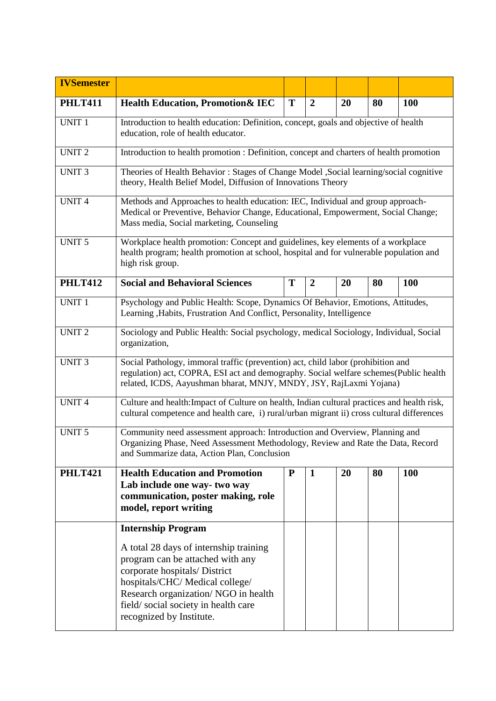| <b>IVSemester</b> |                                                                                                                                                                                                                                                          |           |                |    |    |            |  |
|-------------------|----------------------------------------------------------------------------------------------------------------------------------------------------------------------------------------------------------------------------------------------------------|-----------|----------------|----|----|------------|--|
| <b>PHLT411</b>    | <b>Health Education, Promotion&amp; IEC</b>                                                                                                                                                                                                              | T         | $\overline{2}$ | 20 | 80 | <b>100</b> |  |
| <b>UNIT 1</b>     | Introduction to health education: Definition, concept, goals and objective of health<br>education, role of health educator.                                                                                                                              |           |                |    |    |            |  |
| <b>UNIT2</b>      | Introduction to health promotion : Definition, concept and charters of health promotion                                                                                                                                                                  |           |                |    |    |            |  |
| <b>UNIT3</b>      | Theories of Health Behavior: Stages of Change Model , Social learning/social cognitive<br>theory, Health Belief Model, Diffusion of Innovations Theory                                                                                                   |           |                |    |    |            |  |
| <b>UNIT4</b>      | Methods and Approaches to health education: IEC, Individual and group approach-<br>Medical or Preventive, Behavior Change, Educational, Empowerment, Social Change;<br>Mass media, Social marketing, Counseling                                          |           |                |    |    |            |  |
| <b>UNIT 5</b>     | Workplace health promotion: Concept and guidelines, key elements of a workplace<br>health program; health promotion at school, hospital and for vulnerable population and<br>high risk group.                                                            |           |                |    |    |            |  |
| <b>PHLT412</b>    | <b>Social and Behavioral Sciences</b>                                                                                                                                                                                                                    | T         | $\overline{2}$ | 20 | 80 | <b>100</b> |  |
| <b>UNIT 1</b>     | Psychology and Public Health: Scope, Dynamics Of Behavior, Emotions, Attitudes,<br>Learning , Habits, Frustration And Conflict, Personality, Intelligence                                                                                                |           |                |    |    |            |  |
| <b>UNIT2</b>      | Sociology and Public Health: Social psychology, medical Sociology, Individual, Social<br>organization,                                                                                                                                                   |           |                |    |    |            |  |
| <b>UNIT3</b>      | Social Pathology, immoral traffic (prevention) act, child labor (prohibition and<br>regulation) act, COPRA, ESI act and demography. Social welfare schemes (Public health<br>related, ICDS, Aayushman bharat, MNJY, MNDY, JSY, RajLaxmi Yojana)          |           |                |    |    |            |  |
| <b>UNIT4</b>      | Culture and health: Impact of Culture on health, Indian cultural practices and health risk,<br>cultural competence and health care, i) rural/urban migrant ii) cross cultural differences                                                                |           |                |    |    |            |  |
| <b>UNIT 5</b>     | Community need assessment approach: Introduction and Overview, Planning and<br>Organizing Phase, Need Assessment Methodology, Review and Rate the Data, Record<br>and Summarize data, Action Plan, Conclusion                                            |           |                |    |    |            |  |
| <b>PHLT421</b>    | <b>Health Education and Promotion</b><br>Lab include one way-two way<br>communication, poster making, role<br>model, report writing                                                                                                                      | ${\bf P}$ | $\mathbf{1}$   | 20 | 80 | <b>100</b> |  |
|                   | <b>Internship Program</b>                                                                                                                                                                                                                                |           |                |    |    |            |  |
|                   | A total 28 days of internship training<br>program can be attached with any<br>corporate hospitals/ District<br>hospitals/CHC/Medical college/<br>Research organization/ NGO in health<br>field/social society in health care<br>recognized by Institute. |           |                |    |    |            |  |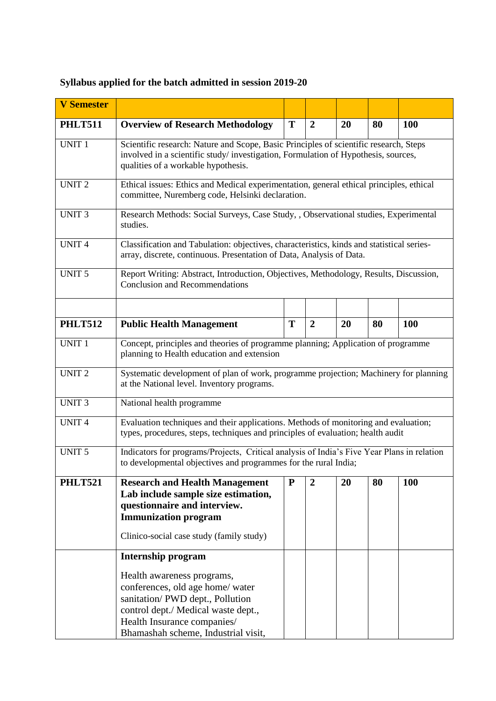## **Syllabus applied for the batch admitted in session 2019-20**

| <b>V Semester</b> |                                                                                                                                                                                                                   |           |                  |    |    |            |  |
|-------------------|-------------------------------------------------------------------------------------------------------------------------------------------------------------------------------------------------------------------|-----------|------------------|----|----|------------|--|
| <b>PHLT511</b>    | <b>Overview of Research Methodology</b>                                                                                                                                                                           | T         | $\overline{2}$   | 20 | 80 | 100        |  |
| <b>UNIT 1</b>     | Scientific research: Nature and Scope, Basic Principles of scientific research, Steps<br>involved in a scientific study/investigation, Formulation of Hypothesis, sources,<br>qualities of a workable hypothesis. |           |                  |    |    |            |  |
| <b>UNIT 2</b>     | Ethical issues: Ethics and Medical experimentation, general ethical principles, ethical<br>committee, Nuremberg code, Helsinki declaration.                                                                       |           |                  |    |    |            |  |
| <b>UNIT 3</b>     | Research Methods: Social Surveys, Case Study, , Observational studies, Experimental<br>studies.                                                                                                                   |           |                  |    |    |            |  |
| <b>UNIT4</b>      | Classification and Tabulation: objectives, characteristics, kinds and statistical series-<br>array, discrete, continuous. Presentation of Data, Analysis of Data.                                                 |           |                  |    |    |            |  |
| <b>UNIT 5</b>     | Report Writing: Abstract, Introduction, Objectives, Methodology, Results, Discussion,<br><b>Conclusion and Recommendations</b>                                                                                    |           |                  |    |    |            |  |
|                   |                                                                                                                                                                                                                   |           |                  |    |    |            |  |
| <b>PHLT512</b>    | <b>Public Health Management</b>                                                                                                                                                                                   | T         | $\overline{2}$   | 20 | 80 | <b>100</b> |  |
| <b>UNIT 1</b>     | Concept, principles and theories of programme planning; Application of programme<br>planning to Health education and extension                                                                                    |           |                  |    |    |            |  |
| UNIT <sub>2</sub> | Systematic development of plan of work, programme projection; Machinery for planning<br>at the National level. Inventory programs.                                                                                |           |                  |    |    |            |  |
| <b>UNIT3</b>      | National health programme                                                                                                                                                                                         |           |                  |    |    |            |  |
| <b>UNIT4</b>      | Evaluation techniques and their applications. Methods of monitoring and evaluation;<br>types, procedures, steps, techniques and principles of evaluation; health audit                                            |           |                  |    |    |            |  |
| <b>UNIT 5</b>     | Indicators for programs/Projects, Critical analysis of India's Five Year Plans in relation<br>to developmental objectives and programmes for the rural India;                                                     |           |                  |    |    |            |  |
| <b>PHLT521</b>    | <b>Research and Health Management</b><br>Lab include sample size estimation,<br>questionnaire and interview.<br><b>Immunization program</b><br>Clinico-social case study (family study)                           | ${\bf P}$ | $\boldsymbol{2}$ | 20 | 80 | <b>100</b> |  |
|                   | <b>Internship program</b>                                                                                                                                                                                         |           |                  |    |    |            |  |
|                   | Health awareness programs,<br>conferences, old age home/ water<br>sanitation/PWD dept., Pollution<br>control dept./ Medical waste dept.,<br>Health Insurance companies/<br>Bhamashah scheme, Industrial visit,    |           |                  |    |    |            |  |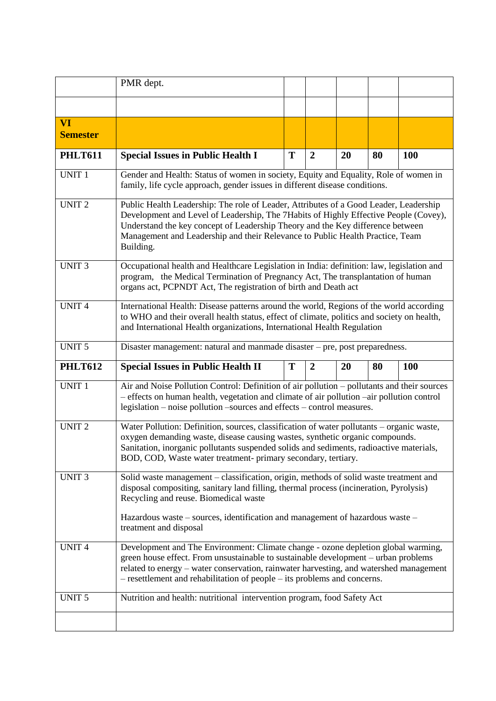|                       | PMR dept.                                                                                                                                                                                                                                                                                                                                     |                                                                                                                                                                                                                                                                                                                                                  |                  |    |    |            |  |  |
|-----------------------|-----------------------------------------------------------------------------------------------------------------------------------------------------------------------------------------------------------------------------------------------------------------------------------------------------------------------------------------------|--------------------------------------------------------------------------------------------------------------------------------------------------------------------------------------------------------------------------------------------------------------------------------------------------------------------------------------------------|------------------|----|----|------------|--|--|
|                       |                                                                                                                                                                                                                                                                                                                                               |                                                                                                                                                                                                                                                                                                                                                  |                  |    |    |            |  |  |
| VI<br><b>Semester</b> |                                                                                                                                                                                                                                                                                                                                               |                                                                                                                                                                                                                                                                                                                                                  |                  |    |    |            |  |  |
| <b>PHLT611</b>        | <b>Special Issues in Public Health I</b>                                                                                                                                                                                                                                                                                                      | T                                                                                                                                                                                                                                                                                                                                                | $\boldsymbol{2}$ | 20 | 80 | <b>100</b> |  |  |
| <b>UNIT 1</b>         |                                                                                                                                                                                                                                                                                                                                               | Gender and Health: Status of women in society, Equity and Equality, Role of women in<br>family, life cycle approach, gender issues in different disease conditions.                                                                                                                                                                              |                  |    |    |            |  |  |
| <b>UNIT2</b>          | Building.                                                                                                                                                                                                                                                                                                                                     | Public Health Leadership: The role of Leader, Attributes of a Good Leader, Leadership<br>Development and Level of Leadership, The 7Habits of Highly Effective People (Covey),<br>Understand the key concept of Leadership Theory and the Key difference between<br>Management and Leadership and their Relevance to Public Health Practice, Team |                  |    |    |            |  |  |
| <b>UNIT3</b>          |                                                                                                                                                                                                                                                                                                                                               | Occupational health and Healthcare Legislation in India: definition: law, legislation and<br>program, the Medical Termination of Pregnancy Act, The transplantation of human<br>organs act, PCPNDT Act, The registration of birth and Death act                                                                                                  |                  |    |    |            |  |  |
| <b>UNIT4</b>          | International Health: Disease patterns around the world, Regions of the world according<br>to WHO and their overall health status, effect of climate, politics and society on health,<br>and International Health organizations, International Health Regulation                                                                              |                                                                                                                                                                                                                                                                                                                                                  |                  |    |    |            |  |  |
| <b>UNIT 5</b>         | Disaster management: natural and manmade disaster - pre, post preparedness.                                                                                                                                                                                                                                                                   |                                                                                                                                                                                                                                                                                                                                                  |                  |    |    |            |  |  |
| <b>PHLT612</b>        | <b>Special Issues in Public Health II</b>                                                                                                                                                                                                                                                                                                     | T                                                                                                                                                                                                                                                                                                                                                | $\overline{2}$   | 20 | 80 | <b>100</b> |  |  |
| <b>UNIT 1</b>         | Air and Noise Pollution Control: Definition of air pollution – pollutants and their sources<br>- effects on human health, vegetation and climate of air pollution -air pollution control<br>legislation - noise pollution - sources and effects - control measures.                                                                           |                                                                                                                                                                                                                                                                                                                                                  |                  |    |    |            |  |  |
| <b>UNIT2</b>          | Water Pollution: Definition, sources, classification of water pollutants – organic waste,<br>oxygen demanding waste, disease causing wastes, synthetic organic compounds.<br>Sanitation, inorganic pollutants suspended solids and sediments, radioactive materials,<br>BOD, COD, Waste water treatment- primary secondary, tertiary.         |                                                                                                                                                                                                                                                                                                                                                  |                  |    |    |            |  |  |
| <b>UNIT 3</b>         | Solid waste management - classification, origin, methods of solid waste treatment and<br>disposal compositing, sanitary land filling, thermal process (incineration, Pyrolysis)<br>Recycling and reuse. Biomedical waste                                                                                                                      |                                                                                                                                                                                                                                                                                                                                                  |                  |    |    |            |  |  |
|                       | Hazardous waste – sources, identification and management of hazardous waste –<br>treatment and disposal                                                                                                                                                                                                                                       |                                                                                                                                                                                                                                                                                                                                                  |                  |    |    |            |  |  |
| <b>UNIT4</b>          | Development and The Environment: Climate change - ozone depletion global warming,<br>green house effect. From unsustainable to sustainable development – urban problems<br>related to energy – water conservation, rainwater harvesting, and watershed management<br>- resettlement and rehabilitation of people - its problems and concerns. |                                                                                                                                                                                                                                                                                                                                                  |                  |    |    |            |  |  |
| UNIT <sub>5</sub>     | Nutrition and health: nutritional intervention program, food Safety Act                                                                                                                                                                                                                                                                       |                                                                                                                                                                                                                                                                                                                                                  |                  |    |    |            |  |  |
|                       |                                                                                                                                                                                                                                                                                                                                               |                                                                                                                                                                                                                                                                                                                                                  |                  |    |    |            |  |  |